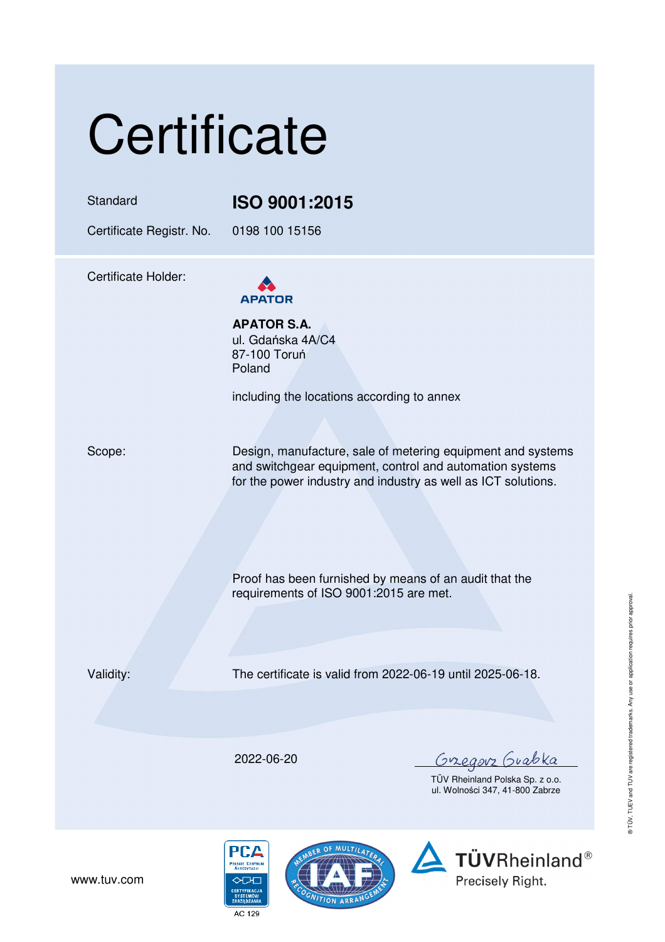# **Certificate**

### Standard **ISO 9001:2015**

Certificate Registr. No. 0198 100 15156

Certificate Holder:



**APATOR S.A.**  ul. Gdańska 4A/C4 87-100 Toruń Poland

including the locations according to annex

Scope: Design, manufacture, sale of metering equipment and systems and switchgear equipment, control and automation systems for the power industry and industry as well as ICT solutions.

> Proof has been furnished by means of an audit that the requirements of ISO 9001:2015 are met.

Validity: The certificate is valid from 2022-06-19 until 2025-06-18.

2022-06-20

<u>Gregorz</u> Guabka

TÜV Rheinland Polska Sp. z o.o. ul. Wolności 347, 41-800 Zabrze





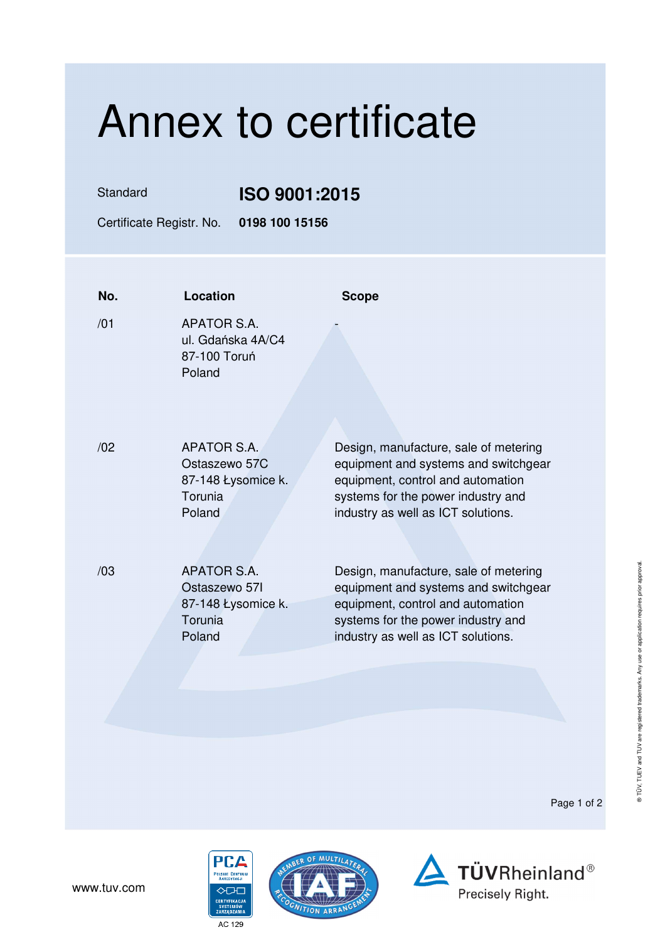## Annex to certificate

### Standard **ISO 9001:2015**

Certificate Registr. No. **0198 100 15156** 

| No. | Location                                                                       | <b>Scope</b>                                                                                                                                                                                   |
|-----|--------------------------------------------------------------------------------|------------------------------------------------------------------------------------------------------------------------------------------------------------------------------------------------|
| /01 | APATOR S.A.<br>ul. Gdańska 4A/C4<br>87-100 Toruń<br>Poland                     |                                                                                                                                                                                                |
| /02 | APATOR S.A.<br>Ostaszewo 57C<br>87-148 Łysomice k.<br>Torunia<br>Poland        | Design, manufacture, sale of metering<br>equipment and systems and switchgear<br>equipment, control and automation<br>systems for the power industry and<br>industry as well as ICT solutions. |
| /03 | <b>APATOR S.A.</b><br>Ostaszewo 571<br>87-148 Łysomice k.<br>Torunia<br>Poland | Design, manufacture, sale of metering<br>equipment and systems and switchgear<br>equipment, control and automation<br>systems for the power industry and<br>industry as well as ICT solutions. |

Page 1 of 2